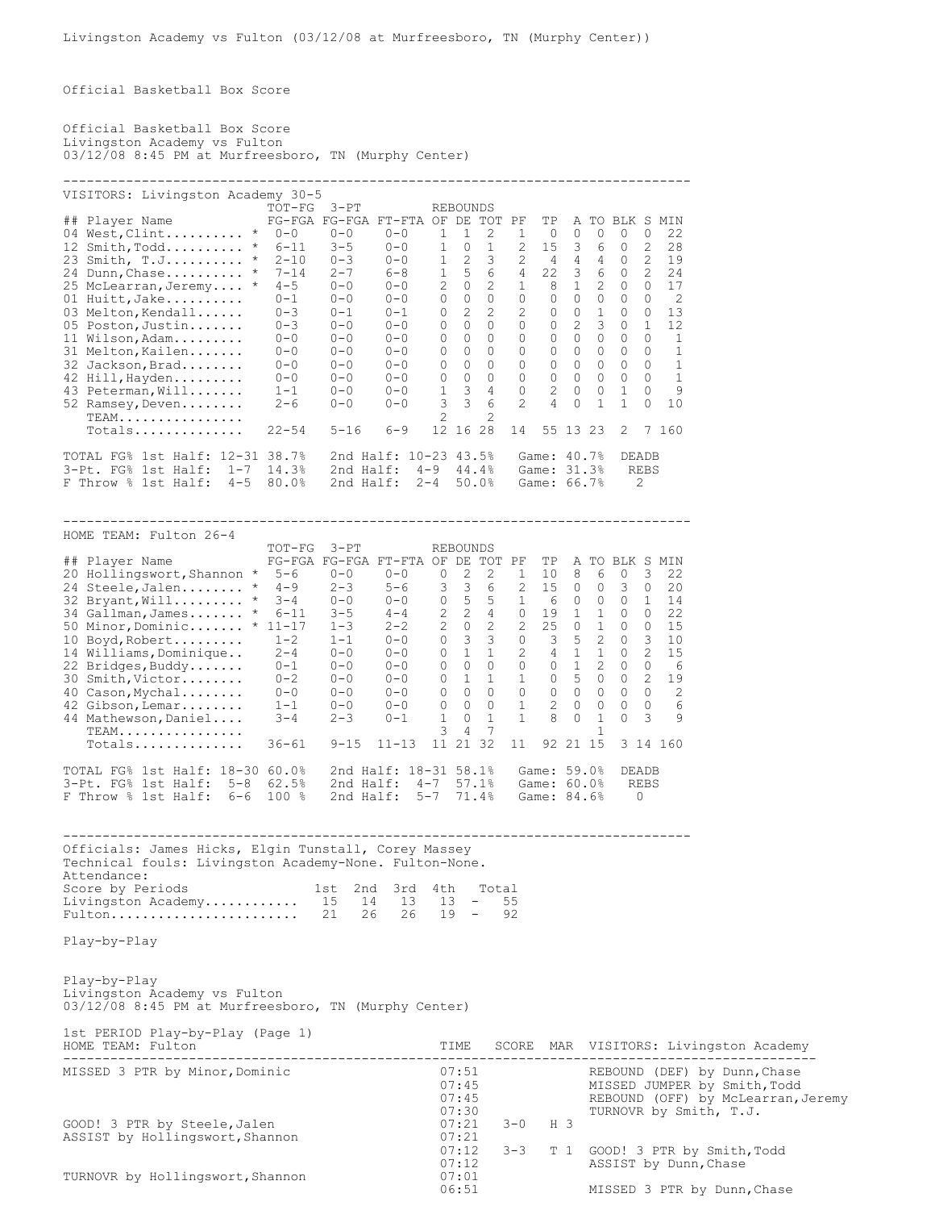Official Basketball Box Score

Official Basketball Box Score Livingston Academy vs Fulton 03/12/08 8:45 PM at Murfreesboro, TN (Murphy Center)

-------------------------------------------------------------------------------- VISITORS: Livingston Academy 30-5 TOT-FG 3-PT REBOUNDS ## Player Name FG-FGA FG-FGA FT-FTA OF DE TOT PF TP A TO BLK S MIN 04 West,Clint.......... \* 0-0 0-0 0-0 1 1 2 1 0 0 0 0 0 22  $12 \text{ Smith.} \text{ Todd.} \dots \overset{*}{\longrightarrow} 6-11 \overset{3-5}{\longrightarrow} 0-0 \overset{1}{\longrightarrow} 0 \overset{1}{\longrightarrow} 2 \overset{15}{\longrightarrow} 3 \overset{6}{\longrightarrow} 0 \overset{2}{\longrightarrow} 28$  $23 \text{ Smith}$ , T.J............. \* 2-10 0-3 0-0 1 2 3 2 4 4 4 0 2 19 24 Dunn,Chase.......... \* 7-14 2-7 6-8 1 5 6 4 22 3 6 0 2 24 25 McLearran,Jeremy.... \* 4-5 0-0 0-0 2 0 2 1 8 1 2 0 0 17 01 Huitt,Jake.......... 0-1 0-0 0-0 0 0 0 0 0 0 0 0 0 2 03 Melton,Kendall...... 0-3 0-1 0-1 0 2 2 2 0 0 1 0 0 13 05 Poston,Justin....... 0-3 0-0 0-0 0 0 0 0 0 2 3 0 1 12 11 Wilson,Adam......... 0-0 0-0 0-0 0 0 0 0 0 0 0 0 0 1 31 Melton,Kailen....... 0-0 0-0 0-0 0 0 0 0 0 0 0 0 0 1 32 Jackson,Brad........ 0-0 0-0 0-0 0 0 0 0 0 0 0 0 0 1 42 Hill,Hayden......... 0-0 0-0 0-0 0 0 0 0 0 0 0 0 0 1 43 Peterman,Will....... 1-1 0-0 0-0 1 3 4 0 2 0 0 1 0 9 52 Ramsey,Deven........ 2-6 0-0 0-0 3 3 6 2 4 0 1 1 0 10 TEAM................ 2 2 Totals.............. 22-54 5-16 6-9 12 16 28 14 55 13 23 2 7 160 TOTAL FG% 1st Half: 12-31 38.7% 2nd Half: 10-23 43.5% Game: 40.7% DEADB 3-Pt. FG% 1st Half: 1-7 14.3% 2nd Half: 4-9 44.4% Game: 31.3% REBS F Throw % 1st Half: 4-5 80.0% 2nd Half: 2-4 50.0% Game: 66.7% 2 -------------------------------------------------------------------------------- HOME TEAM: Fulton 26-4 TOT-FG 3-PT REBOUNDS ## Player Name FG-FGA FG-FGA FT-FTA OF DE TOT PF TP A TO BLK S MIN  $20$  Hollingswort, Shannon \* 5-6 0-0 0-0 0 2 2 1 10 8 6 0 3 22 24 Steele,Jalen........ \* 4-9 2-3 5-6 3 3 6 2 15 0 0 3 0 20 32 Bryant,Will......... \* 3-4 0-0 0-0 0 5 5 1 6 0 0 0 1 14 34 Gallman,James....... \* 6-11 3-5 4-4 2 2 4 0 19 1 1 0 0 22 50 Minor,Dominic....... \* 11-17 1-3 2-2 2 0 2 2 25 0 1 0 0 15 10 Boyd,Robert......... 1-2 1-1 0-0 0 3 3 0 3 5 2 0 3 10 14 Williams,Dominique.. 2-4 0-0 0-0 0 1 1 2 4 1 1 0 2 15 22 Bridges,Buddy....... 0-1 0-0 0-0 0 0 0 0 0 1 2 0 0 6 30 Smith,Victor........ 0-2 0-0 0-0 0 1 1 1 0 5 0 0 2 19 40 Cason,Mychal........ 0-0 0-0 0-0 0 0 0 0 0 0 0 0 0 2 42 Gibson,Lemar........ 1-1 0-0 0-0 0 0 0 1 2 0 0 0 0 6 44 Mathewson,Daniel.... 3-4 2-3 0-1 1 0 1 1 8 0 1 0 3 9 TEAM................ 3 4 7 1 Totals.............. 36-61 9-15 11-13 11 21 32 11 92 21 15 3 14 160 TOTAL FG% 1st Half: 18-30 60.0% 2nd Half: 18-31 58.1% Game: 59.0% DEADB 3-Pt. FG% 1st Half: 5-8 62.5% 2nd Half: 4-7 57.1% Game: 60.0% REBS F Throw % 1st Half: 6-6 100 % 2nd Half: 5-7 71.4% Game: 84.6% 0 -------------------------------------------------------------------------------- Officials: James Hicks, Elgin Tunstall, Corey Massey Technical fouls: Livingston Academy-None. Fulton-None. Attendance: Score by Periods 1st 2nd 3rd 4th Total Livingston Academy............ 15 14 13 13 - 55 Fulton........................ 21 26 26 19 - 92 Play-by-Play Play-by-Play Livingston Academy vs Fulton 03/12/08 8:45 PM at Murfreesboro, TN (Murphy Center) 1st PERIOD Play-by-Play (Page 1) HOME TEAM: Fulton TIME SCORE MAR VISITORS: Livingston Academy ------------------------------------------------------------------------------------------------

| MISSED 3 PTR by Minor, Dominic                                  | 07:51<br>07:45<br>07:45<br>07:30 |         |     | REBOUND (DEF) by Dunn, Chase<br>MISSED JUMPER by Smith, Todd<br>REBOUND (OFF) by McLearran, Jeremy<br>TURNOVR by Smith, T.J. |
|-----------------------------------------------------------------|----------------------------------|---------|-----|------------------------------------------------------------------------------------------------------------------------------|
| GOOD! 3 PTR by Steele, Jalen<br>ASSIST by Hollingswort, Shannon | 07:21<br>07:21                   | $3 - 0$ | H 3 |                                                                                                                              |
|                                                                 | 07:12<br>07:12                   | $3 - 3$ | T 1 | GOOD! 3 PTR by Smith, Todd<br>ASSIST by Dunn, Chase                                                                          |
| TURNOVR by Hollingswort, Shannon                                | 07:01<br>06:51                   |         |     | MISSED 3 PTR by Dunn, Chase                                                                                                  |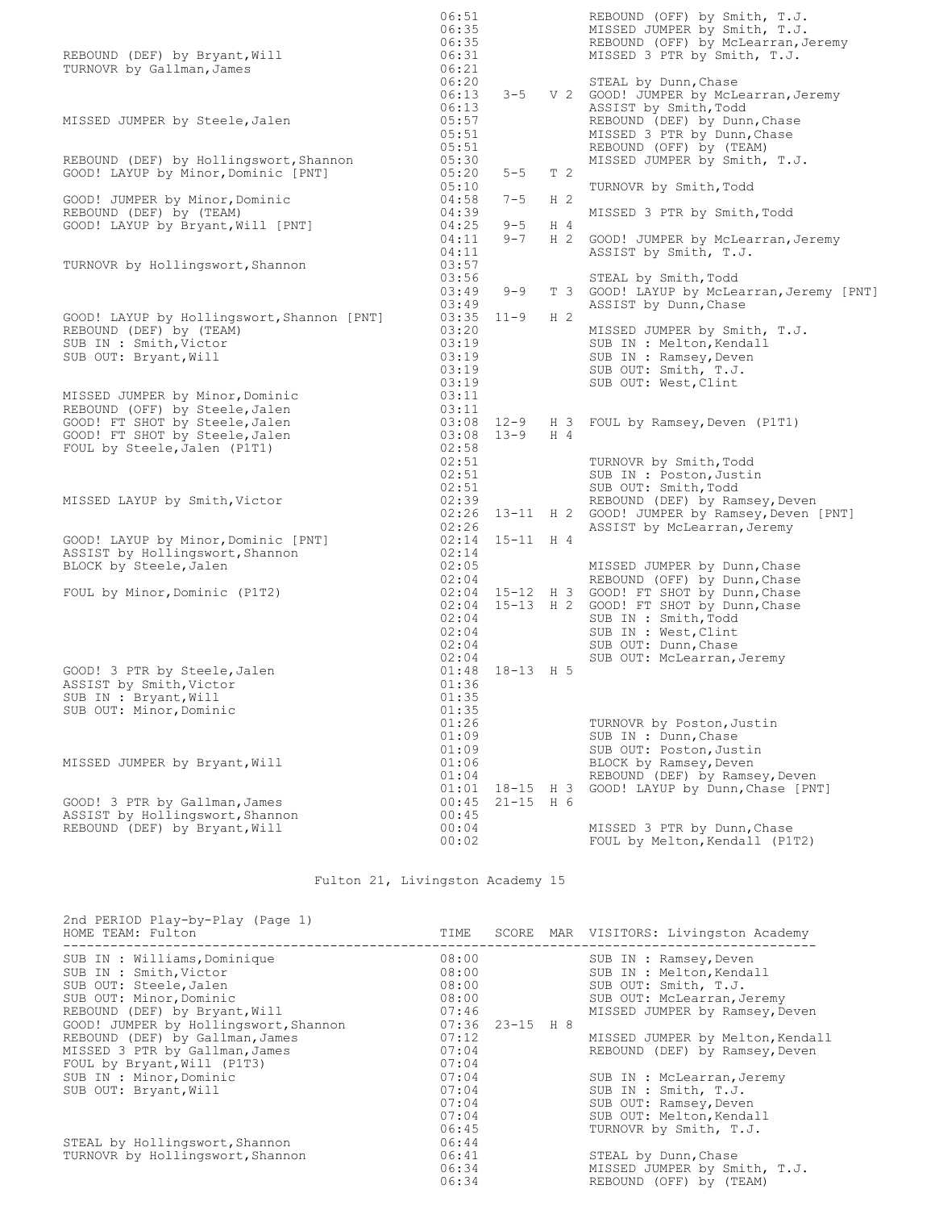| REBOUND (DEF) by Bryant, Will<br>TURNOVR by Gallman, James                                          | 06:51<br>06:35<br>06:35<br>06:31<br>06:21     |                    |                | REBOUND (OFF) by Smith, T.J.<br>MISSED JUMPER by Smith, T.J.<br>REBOUND (OFF) by McLearran, Jeremy<br>MISSED 3 PTR by Smith, T.J.                                            |
|-----------------------------------------------------------------------------------------------------|-----------------------------------------------|--------------------|----------------|------------------------------------------------------------------------------------------------------------------------------------------------------------------------------|
|                                                                                                     | 06:20<br>06:13<br>06:13                       | $3 - 5$            |                | STEAL by Dunn, Chase<br>V 2 GOOD! JUMPER by McLearran, Jeremy<br>ASSIST by Smith, Todd                                                                                       |
| MISSED JUMPER by Steele, Jalen                                                                      | 05:57<br>05:51<br>05:51                       |                    |                | REBOUND (DEF) by Dunn, Chase<br>MISSED 3 PTR by Dunn, Chase<br>REBOUND (OFF) by (TEAM)                                                                                       |
| REBOUND (DEF) by Hollingswort, Shannon<br>GOOD! LAYUP by Minor, Dominic [PNT]                       | 05:30<br>05:20                                | $5 - 5$            | T 2            | MISSED JUMPER by Smith, T.J.                                                                                                                                                 |
| GOOD! JUMPER by Minor, Dominic<br>REBOUND (DEF) by (TEAM)                                           | 05:10<br>04:58<br>04:39                       | $7 - 5$            | H <sub>2</sub> | TURNOVR by Smith, Todd<br>MISSED 3 PTR by Smith, Todd                                                                                                                        |
| GOOD! LAYUP by Bryant, Will [PNT]                                                                   | 04:25<br>04:11                                | $9 - 5$<br>$9 - 7$ | H <sub>4</sub> | H 2 GOOD! JUMPER by McLearran, Jeremy                                                                                                                                        |
| TURNOVR by Hollingswort, Shannon                                                                    | 04:11<br>03:57                                |                    |                | ASSIST by Smith, T.J.                                                                                                                                                        |
|                                                                                                     | 03:56<br>03:49<br>03:49                       | $9 - 9$            |                | STEAL by Smith, Todd<br>T 3 GOOD! LAYUP by McLearran, Jeremy [PNT]<br>ASSIST by Dunn, Chase                                                                                  |
| GOOD! LAYUP by Hollingswort, Shannon [PNT]<br>REBOUND (DEF) by (TEAM)                               | 03:20                                         | $03:35$ $11-9$     | H <sub>2</sub> | MISSED JUMPER by Smith, T.J.                                                                                                                                                 |
| SUB IN : Smith, Victor<br>SUB OUT: Bryant, Will                                                     | 03:19<br>03:19<br>03:19<br>03:19              |                    |                | SUB IN : Melton, Kendall<br>SUB IN : Ramsey, Deven<br>SUB OUT: Smith, T.J.<br>SUB OUT: West, Clint                                                                           |
| MISSED JUMPER by Minor, Dominic<br>REBOUND (OFF) by Steele, Jalen<br>GOOD! FT SHOT by Steele, Jalen | 03:11<br>03:11                                |                    |                | 03:08 12-9 H 3 FOUL by Ramsey, Deven (P1T1)                                                                                                                                  |
| GOOD! FT SHOT by Steele, Jalen<br>FOUL by Steele, Jalen (P1T1)                                      | 02:58<br>02:51<br>02:51                       | $03:08$ 13-9       | H <sub>4</sub> | TURNOVR by Smith, Todd<br>SUB IN : Poston, Justin                                                                                                                            |
| MISSED LAYUP by Smith, Victor                                                                       | 02:51<br>02:39<br>02:26                       |                    |                | SUB OUT: Smith, Todd<br>REBOUND (DEF) by Ramsey, Deven<br>02:26 13-11 H 2 GOOD! JUMPER by Ramsey, Deven [PNT]<br>ASSIST by McLearran, Jeremy                                 |
| GOOD! LAYUP by Minor, Dominic [PNT]<br>ASSIST by Hollingswort, Shannon<br>BLOCK by Steele, Jalen    | 02:14<br>02:05                                | $02:14$ 15-11 H 4  |                | MISSED JUMPER by Dunn, Chase                                                                                                                                                 |
| FOUL by Minor, Dominic (P1T2)                                                                       | 02:04<br>02:04                                | 02:04              |                | REBOUND (OFF) by Dunn, Chase<br>02:04 15-12 H 3 GOOD! FT SHOT by Dunn, Chase<br>02:04 15-13 H 2 GOOD! FT SHOT by Dunn, Chase<br>SUB IN : Smith, Todd<br>SUB IN : West, Clint |
| GOOD! 3 PTR by Steele, Jalen<br>ASSIST by Smith, Victor<br>SUB IN : Bryant, Will                    | $02:04$<br>$02:04$<br>02:04<br>01:36<br>01:35 | $01:48$ 18-13 H 5  |                | SUB OUT: Dunn, Chase<br>SUB OUT: McLearran, Jeremy                                                                                                                           |
| SUB OUT: Minor, Dominic                                                                             | 01:35<br>01:26<br>01:09<br>01:09<br>01:06     |                    |                | TURNOVR by Poston, Justin<br>SUB IN : Dunn, Chase<br>SUB OUT: Poston, Justin                                                                                                 |
| MISSED JUMPER by Bryant, Will                                                                       | 01:04<br>01:01                                | $18 - 15$          | H 3            | BLOCK by Ramsey, Deven<br>REBOUND (DEF) by Ramsey, Deven<br>GOOD! LAYUP by Dunn, Chase [PNT]                                                                                 |
| GOOD! 3 PTR by Gallman, James<br>ASSIST by Hollingswort, Shannon<br>REBOUND (DEF) by Bryant, Will   | 00:45<br>00:45<br>00:04<br>00:02              | $21 - 15$ H 6      |                | MISSED 3 PTR by Dunn, Chase<br>FOUL by Melton, Kendall (P1T2)                                                                                                                |

Fulton 21, Livingston Academy 15

| 2nd PERIOD Play-by-Play (Page 1)<br>HOME TEAM: Fulton                                                                                                                                                                                                      | TIME                                                                                   |  | SCORE MAR VISITORS: Livingston Academy                                                                                                                                                                                |
|------------------------------------------------------------------------------------------------------------------------------------------------------------------------------------------------------------------------------------------------------------|----------------------------------------------------------------------------------------|--|-----------------------------------------------------------------------------------------------------------------------------------------------------------------------------------------------------------------------|
| SUB IN : Williams, Dominique<br>SUB IN : Smith, Victor<br>SUB OUT: Steele, Jalen<br>SUB OUT: Minor, Dominic<br>REBOUND (DEF) by Bryant, Will<br>GOOD! JUMPER by Hollingswort, Shannon<br>REBOUND (DEF) by Gallman, James<br>MISSED 3 PTR by Gallman, James | 08:00<br>08:00<br>08:00<br>08:00<br>07:46<br>$07:36$ 23-15 H 8<br>07:12<br>07:04       |  | SUB IN : Ramsey, Deven<br>SUB IN : Melton, Kendall<br>SUB OUT: Smith, T.J.<br>SUB OUT: McLearran, Jeremy<br>MISSED JUMPER by Ramsey, Deven<br>MISSED JUMPER by Melton, Kendall<br>REBOUND (DEF) by Ramsey, Deven      |
| FOUL by Bryant, Will (P1T3)<br>SUB IN : Minor, Dominic<br>SUB OUT: Bryant, Will<br>STEAL by Hollingswort, Shannon<br>TURNOVR by Hollingswort, Shannon                                                                                                      | 07:04<br>07:04<br>07:04<br>07:04<br>07:04<br>06:45<br>06:44<br>06:41<br>06:34<br>06:34 |  | SUB IN : McLearran, Jeremy<br>SUB IN : Smith, T.J.<br>SUB OUT: Ramsey, Deven<br>SUB OUT: Melton, Kendall<br>TURNOVR by Smith, T.J.<br>STEAL by Dunn, Chase<br>MISSED JUMPER by Smith, T.J.<br>REBOUND (OFF) by (TEAM) |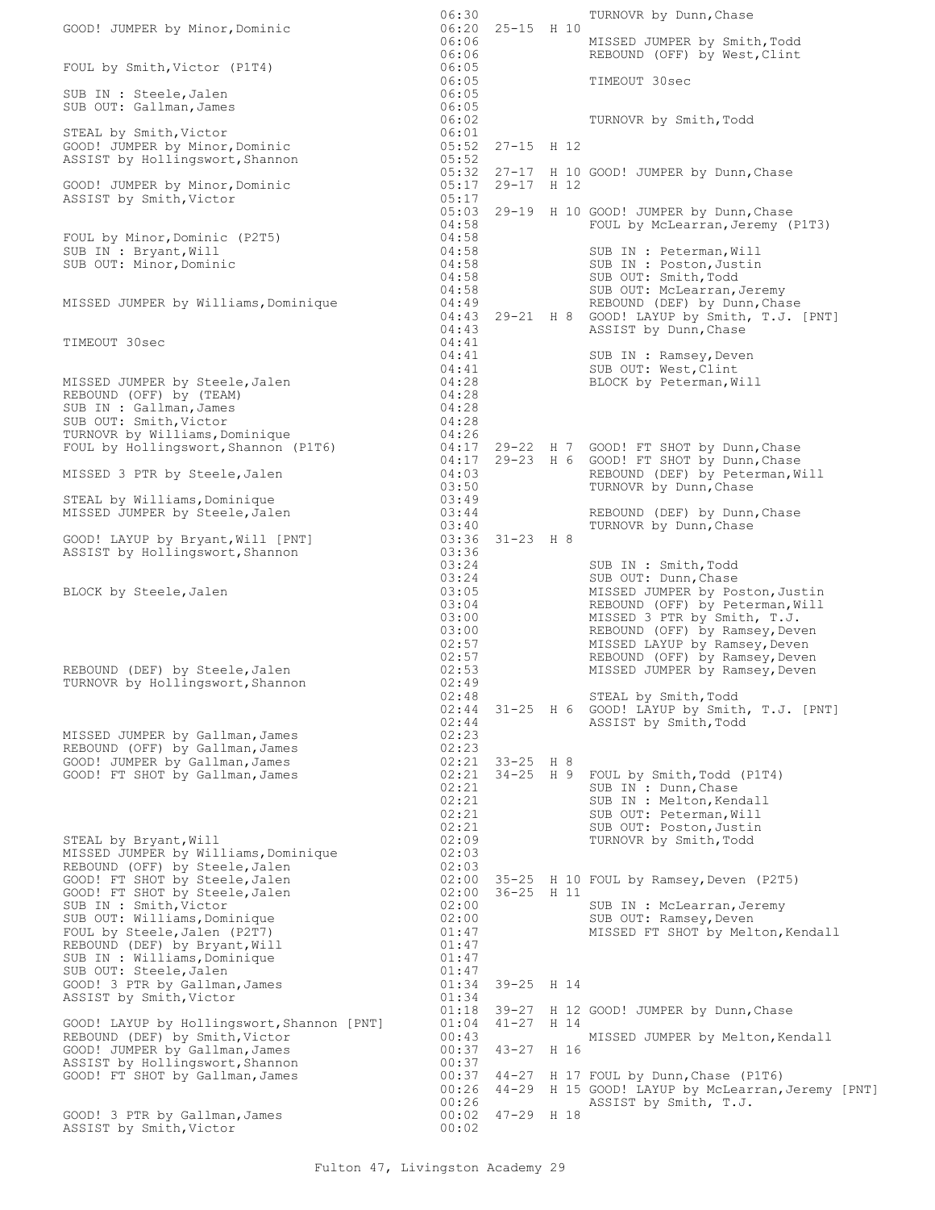| GOOD! JUMPER by Minor, Dominic                                                                                                                          | 06:30                                                                | 06:20 25-15 H 10               |              | TURNOVR by Dunn, Chase                                                                                                                                                                                                                                 |
|---------------------------------------------------------------------------------------------------------------------------------------------------------|----------------------------------------------------------------------|--------------------------------|--------------|--------------------------------------------------------------------------------------------------------------------------------------------------------------------------------------------------------------------------------------------------------|
|                                                                                                                                                         | 06:06<br>06:06                                                       |                                |              | MISSED JUMPER by Smith, Todd<br>REBOUND (OFF) by West, Clint                                                                                                                                                                                           |
| FOUL by Smith, Victor (P1T4)                                                                                                                            | 06:05<br>06:05                                                       |                                |              | TIMEOUT 30sec                                                                                                                                                                                                                                          |
| SUB IN : Steele, Jalen<br>SUB OUT: Gallman, James                                                                                                       | 06:05<br>06:05                                                       |                                |              |                                                                                                                                                                                                                                                        |
| STEAL by Smith, Victor                                                                                                                                  | 06:02<br>06:01                                                       |                                |              | TURNOVR by Smith, Todd                                                                                                                                                                                                                                 |
| GOOD! JUMPER by Minor, Dominic<br>ASSIST by Hollingswort, Shannon                                                                                       | 05:52                                                                | 05:52 27-15 H 12               |              |                                                                                                                                                                                                                                                        |
| GOOD! JUMPER by Minor, Dominic<br>ASSIST by Smith, Victor                                                                                               | 05:17                                                                | 05:17 29-17 H 12               |              | 05:32 27-17 H 10 GOOD! JUMPER by Dunn, Chase                                                                                                                                                                                                           |
|                                                                                                                                                         | 04:58                                                                |                                |              | 05:03 29-19 H 10 GOOD! JUMPER by Dunn, Chase<br>FOUL by McLearran, Jeremy (P1T3)                                                                                                                                                                       |
| FOUL by Minor, Dominic (P2T5)<br>SUB IN : Bryant, Will                                                                                                  | 04:58<br>04:58                                                       |                                |              | SUB IN : Peterman, Will                                                                                                                                                                                                                                |
| SUB OUT: Minor, Dominic                                                                                                                                 | 04:58<br>04:58                                                       |                                |              | SUB IN : Poston, Justin<br>SUB OUT: Smith, Todd                                                                                                                                                                                                        |
| MISSED JUMPER by Williams, Dominique                                                                                                                    | 04:58<br>04:49                                                       |                                |              | SUB OUT: McLearran, Jeremy<br>REBOUND (DEF) by Dunn, Chase                                                                                                                                                                                             |
|                                                                                                                                                         | 04:43                                                                |                                |              | 04:43 29-21 H 8 GOOD! LAYUP by Smith, T.J. [PNT]<br>ASSIST by Dunn, Chase                                                                                                                                                                              |
| TIMEOUT 30sec                                                                                                                                           | 04:41<br>04:41                                                       |                                |              | SUB IN : Ramsey, Deven                                                                                                                                                                                                                                 |
| MISSED JUMPER by Steele, Jalen                                                                                                                          | 04:41<br>04:28                                                       |                                |              | SUB OUT: West, Clint<br>BLOCK by Peterman, Will                                                                                                                                                                                                        |
| REBOUND (OFF) by (TEAM)<br>SUB IN : Gallman, James                                                                                                      | 04:28<br>04:28                                                       |                                |              |                                                                                                                                                                                                                                                        |
| SUB OUT: Smith, Victor<br>TURNOVR by Williams, Dominique<br>FOUL by Hollingswort, Shannon (P1T6)                                                        | 04:28<br>04:26                                                       |                                |              | 04:17 29-22 H 7 GOOD! FT SHOT by Dunn, Chase                                                                                                                                                                                                           |
| MISSED 3 PTR by Steele, Jalen                                                                                                                           | 04:03                                                                |                                |              | 04:17 29-23 H 6 GOOD! FT SHOT by Dunn, Chase<br>REBOUND (DEF) by Peterman, Will                                                                                                                                                                        |
| STEAL by Williams, Dominique                                                                                                                            | 03:50<br>03:49                                                       |                                |              | TURNOVR by Dunn, Chase                                                                                                                                                                                                                                 |
| MISSED JUMPER by Steele, Jalen                                                                                                                          | 03:44<br>03:40                                                       |                                |              | REBOUND (DEF) by Dunn, Chase<br>TURNOVR by Dunn, Chase                                                                                                                                                                                                 |
| GOOD! LAYUP by Bryant, Will [PNT]<br>ASSIST by Hollingswort, Shannon                                                                                    | 03:36                                                                | $03:36$ $31-23$ H 8            |              |                                                                                                                                                                                                                                                        |
| BLOCK by Steele, Jalen                                                                                                                                  | 03:24<br>03:24<br>03:05<br>03:04<br>03:00<br>03:00<br>02:57<br>02:57 |                                |              | SUB IN : Smith, Todd<br>SUB OUT: Dunn, Chase<br>MISSED JUMPER by Poston, Justin<br>REBOUND (OFF) by Peterman, Will<br>MISSED 3 PTR by Smith, T.J.<br>REBOUND (OFF) by Ramsey, Deven<br>MISSED LAYUP by Ramsey, Deven<br>REBOUND (OFF) by Ramsey, Deven |
| REBOUND (DEF) by Steele, Jalen<br>TURNOVR by Hollingswort, Shannon                                                                                      | 02:53<br>02:49                                                       |                                |              | MISSED JUMPER by Ramsey, Deven                                                                                                                                                                                                                         |
|                                                                                                                                                         | 02:48<br>02:44<br>02:44                                              |                                |              | STEAL by Smith, Todd<br>31-25 H 6 GOOD! LAYUP by Smith, T.J. [PNT]<br>ASSIST by Smith, Todd                                                                                                                                                            |
| MISSED JUMPER by Gallman, James<br>REBOUND (OFF) by Gallman, James                                                                                      | 02:23<br>02:23                                                       |                                |              |                                                                                                                                                                                                                                                        |
| GOOD! JUMPER by Gallman, James<br>GOOD! FT SHOT by Gallman, James<br>STEAL by Bryant, Will                                                              | 02:21<br>02:21<br>02:21<br>02:21<br>02:21<br>02:21<br>02:09          | $33 - 25$ H 8<br>$34 - 25$ H 9 |              | FOUL by Smith, Todd (P1T4)<br>SUB IN : Dunn, Chase<br>SUB IN : Melton, Kendall<br>SUB OUT: Peterman, Will<br>SUB OUT: Poston, Justin<br>TURNOVR by Smith, Todd                                                                                         |
| MISSED JUMPER by Williams, Dominique<br>REBOUND (OFF) by Steele, Jalen                                                                                  | 02:03<br>02:03                                                       |                                |              |                                                                                                                                                                                                                                                        |
| GOOD! FT SHOT by Steele, Jalen<br>GOOD! FT SHOT by Steele, Jalen                                                                                        | 02:00                                                                | 36-25 H 11                     |              | 02:00 35-25 H 10 FOUL by Ramsey, Deven (P2T5)                                                                                                                                                                                                          |
| SUB IN : Smith, Victor<br>SUB OUT: Williams, Dominique<br>FOUL by Steele, Jalen (P2T7)<br>REBOUND (DEF) by Bryant, Will<br>SUB IN : Williams, Dominique | 02:00<br>02:00<br>01:47<br>01:47<br>01:47                            |                                |              | SUB IN : McLearran, Jeremy<br>SUB OUT: Ramsey, Deven<br>MISSED FT SHOT by Melton, Kendall                                                                                                                                                              |
| SUB OUT: Steele, Jalen<br>GOOD! 3 PTR by Gallman, James                                                                                                 | 01:47<br>01:34                                                       | 39-25 H 14                     |              |                                                                                                                                                                                                                                                        |
| ASSIST by Smith, Victor                                                                                                                                 | 01:34<br>01:18                                                       |                                |              | 39-27 H 12 GOOD! JUMPER by Dunn, Chase                                                                                                                                                                                                                 |
| GOOD! LAYUP by Hollingswort, Shannon [PNT]<br>REBOUND (DEF) by Smith, Victor<br>GOOD! JUMPER by Gallman, James                                          | 01:04<br>00:43<br>00:37                                              | $41 - 27$<br>43-27             | H 14<br>H 16 | MISSED JUMPER by Melton, Kendall                                                                                                                                                                                                                       |
| ASSIST by Hollingswort, Shannon<br>GOOD! FT SHOT by Gallman, James                                                                                      | 00:37<br>00:37                                                       |                                |              | 44-27 H 17 FOUL by Dunn, Chase (P1T6)                                                                                                                                                                                                                  |
|                                                                                                                                                         | 00:26<br>00:26                                                       | $44 - 29$                      |              | H 15 GOOD! LAYUP by McLearran, Jeremy [PNT]<br>ASSIST by Smith, T.J.                                                                                                                                                                                   |
| GOOD! 3 PTR by Gallman, James<br>ASSIST by Smith, Victor                                                                                                | 00:02<br>00:02                                                       | $47 - 29$ H 18                 |              |                                                                                                                                                                                                                                                        |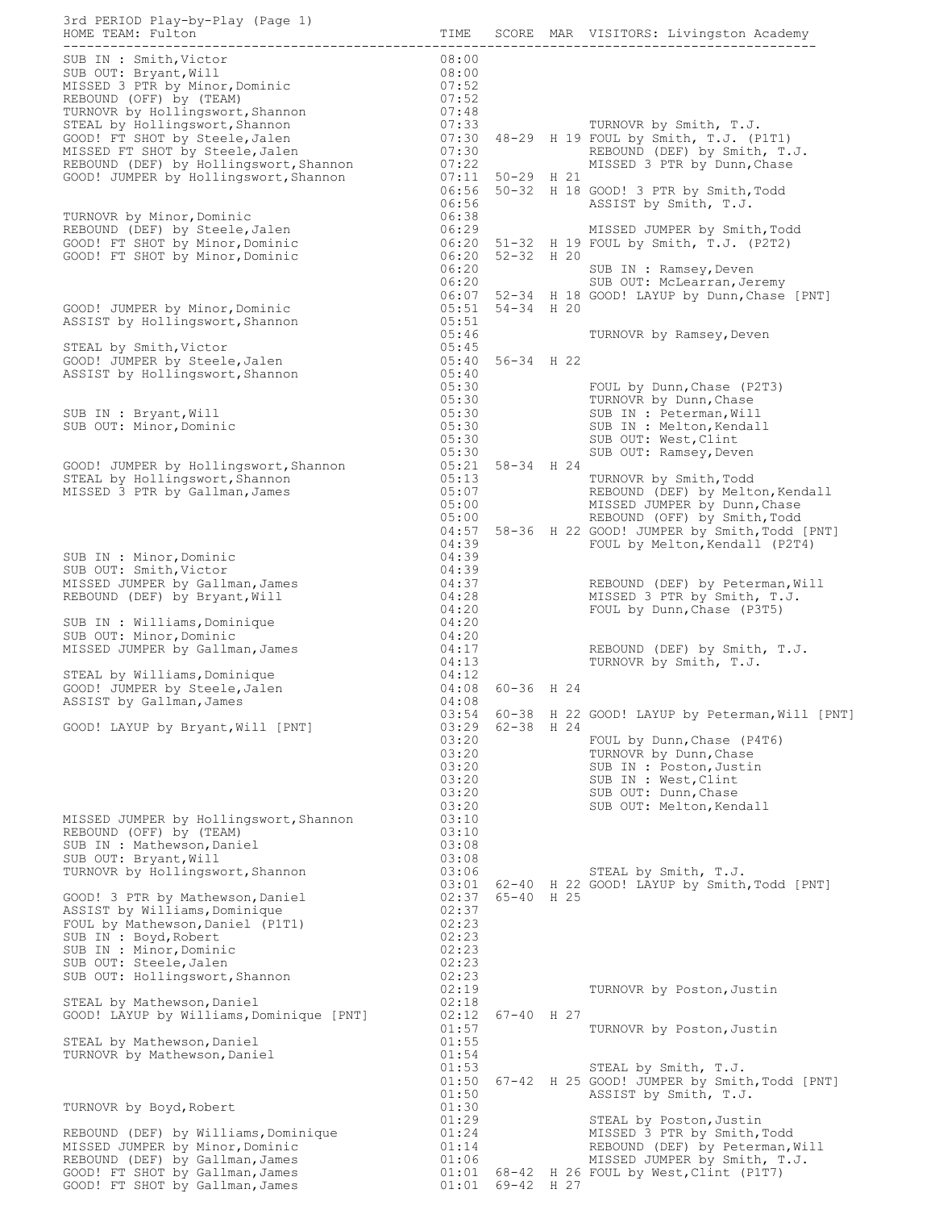| 3rd PERIOD Play-by-Play (Page 1)<br>HOME TEAM: Fulton<br>-----------------                                                                                                                                                                                              |                                                    |                                    | TIME SCORE MAR VISITORS: Livingston Academy                                                                                                                                                                                                                                  |
|-------------------------------------------------------------------------------------------------------------------------------------------------------------------------------------------------------------------------------------------------------------------------|----------------------------------------------------|------------------------------------|------------------------------------------------------------------------------------------------------------------------------------------------------------------------------------------------------------------------------------------------------------------------------|
| SUB IN : Smith, Victor<br>SUB OUT: Bryant, Will<br>MISSED 3 PTR by Minor, Dominic<br>REBOUND (OFF) by (TEAM)<br>TURNOVR by Hollingswort, Shannon                                                                                                                        | 08:00<br>08:00<br>07:52<br>07:52<br>07:48          |                                    |                                                                                                                                                                                                                                                                              |
| STEAL by Hollingswort, Shannon<br>GOOD! FT SHOT by Steele, Jalen<br>MISSED FT SHOT by Steele, Jalen<br>REBOUND (DEF) by Hollingswort, Shannon<br>GOOD! JUMPER by Hollingswort, Shannon<br>GOOD! JUMPER by Hollingswort, Shannon<br>07:22<br>MISSED 3 PTR by Dunn, Chase |                                                    |                                    | 07:33 TURNOVR by Smith, T.J.<br>07:30 48-29 H 19 FOUL by Smith, T.J. (P1T1)                                                                                                                                                                                                  |
| GOOD! JUMPER by Hollingswort, Shannon                                                                                                                                                                                                                                   |                                                    | 07:11 50-29 H 21                   | 06:56 50-32 H 18 GOOD! 3 PTR by Smith, Todd                                                                                                                                                                                                                                  |
| TURNOVR by Minor, Dominic<br>REBOUND (DEF) by Steele, Jalen<br>GOOD! FT SHOT by Minor, Dominic<br>GOOD! FT SHOT by Minor, Dominic                                                                                                                                       |                                                    |                                    | 06:20 51-32 H 19 FOUL by Smith, T.J. (P2T2)<br>06:20 52-32 H 20                                                                                                                                                                                                              |
| GOOD! JUMPER by Minor, Dominic                                                                                                                                                                                                                                          | 06:20                                              | 05:51 54-34 H 20                   | SUB IN : Ramsey, Deven<br>06:20 SUB IN : Ramsey, Deven<br>06:20 SUB OUT: McLearran, Jeremy<br>06:07 52-34 H 18 GOOD! LAYUP by Dunn, Chase [PNT]                                                                                                                              |
| ASSIST by Hollingswort, Shannon<br>STEAL by Smith, Victor                                                                                                                                                                                                               | 05:51<br>05:46<br>05:45                            |                                    | TURNOVR by Ramsey, Deven                                                                                                                                                                                                                                                     |
| GOOD! JUMPER by Steele, Jalen<br>ASSIST by Hollingswort, Shannon                                                                                                                                                                                                        | 05:40                                              | 05:40 56-34 H 22                   |                                                                                                                                                                                                                                                                              |
| SUB IN : Bryant, Will<br>SUB OUT: Minor, Dominic                                                                                                                                                                                                                        |                                                    |                                    | 05:30<br>05:30<br>05:30<br>05:30<br>05:30<br>05:30<br>05:30<br>05:30<br>05:30<br>05:30<br>05:30<br>05:30<br>05:30<br>05:30<br>05:30<br>05:30<br>2010: Nelton, Kendall<br>05:30<br>2010: Nelton, Kendall<br>05:30<br>2010: Nelton, Kendall<br>05:30<br>2010: Nest, Clint<br>0 |
| GOOD! JUMPER by Hollingswort, Shannon<br>STEAL by Hollingswort, Shannon<br>MISSED 3 PTR by Gallman, James                                                                                                                                                               | 05:30<br>05:00                                     | 05:21 58-34 H 24<br>05:13<br>05:07 | TURNOVR by Smith, Todd<br>REBOUND (DEF) by Melton, Kendall<br>MISSED JUMPER by Dunn, Chase                                                                                                                                                                                   |
| SUB IN : Minor, Dominic                                                                                                                                                                                                                                                 | 05:00<br>04:39<br>04:39                            |                                    | REBOUND (OFF) by Smith, Todd<br>04:57 58-36 H 22 GOOD! JUMPER by Smith, Todd [PNT]<br>FOUL by Melton, Kendall (P2T4)                                                                                                                                                         |
| SUB OUT: Smith, Victor<br>MISSED JUMPER by Gallman, James<br>REBOUND (DEF) by Bryant, Will                                                                                                                                                                              | 04:39<br>04:37<br>04:20                            | 04:28                              | REBOUND (DEF) by Peterman, Will<br>MISSED 3 PTR by Smith, T.J.<br>FOUL by Dunn, Chase (P3T5)                                                                                                                                                                                 |
| SUB IN : Williams, Dominique<br>SUB OUT: Minor, Dominic<br>MISSED JUMPER by Gallman, James                                                                                                                                                                              | 04:20<br>04:20<br>04:17                            |                                    | REBOUND (DEF) by Smith, T.J.<br>TURNOVR by Smith, T.J.                                                                                                                                                                                                                       |
| STEAL by Williams, Dominique<br>GOOD! JUMPER by Steele, Jalen<br>ASSIST by Gallman, James                                                                                                                                                                               | 04:13<br>04:12<br>04:08                            | 04:08 60-36 H 24                   |                                                                                                                                                                                                                                                                              |
| GOOD! LAYUP by Bryant, Will [PNT]                                                                                                                                                                                                                                       | 03:54<br>03:29<br>03:20                            | 62-38 H 24                         | 60-38 H 22 GOOD! LAYUP by Peterman, Will [PNT]<br>FOUL by Dunn, Chase (P4T6)                                                                                                                                                                                                 |
|                                                                                                                                                                                                                                                                         | 03:20<br>03:20<br>03:20<br>03:20<br>03:20          |                                    | TURNOVR by Dunn, Chase<br>SUB IN : Poston, Justin<br>SUB IN : West, Clint<br>SUB OUT: Dunn, Chase<br>SUB OUT: Melton, Kendall                                                                                                                                                |
| MISSED JUMPER by Hollingswort, Shannon<br>REBOUND (OFF) by (TEAM)<br>SUB IN : Mathewson, Daniel<br>SUB OUT: Bryant, Will<br>TURNOVR by Hollingswort, Shannon                                                                                                            | 03:10<br>03:10<br>03:08<br>03:08<br>03:06          |                                    | STEAL by Smith, T.J.                                                                                                                                                                                                                                                         |
| GOOD! 3 PTR by Mathewson, Daniel<br>ASSIST by Williams, Dominique<br>FOUL by Mathewson, Daniel (P1T1)<br>SUB IN : Boyd, Robert<br>SUB IN : Minor, Dominic<br>SUB OUT: Steele, Jalen                                                                                     | 02:37<br>02:37<br>02:23<br>02:23<br>02:23<br>02:23 | 65-40 H 25                         | 03:01 62-40 H 22 GOOD! LAYUP by Smith, Todd [PNT]                                                                                                                                                                                                                            |
| SUB OUT: Hollingswort, Shannon<br>STEAL by Mathewson, Daniel                                                                                                                                                                                                            | 02:23<br>02:19<br>02:18                            |                                    | TURNOVR by Poston, Justin                                                                                                                                                                                                                                                    |
| GOOD! LAYUP by Williams, Dominique [PNT]<br>STEAL by Mathewson, Daniel<br>TURNOVR by Mathewson, Daniel                                                                                                                                                                  | 01:57<br>01:55<br>01:54                            | $02:12$ 67-40 H 27                 | TURNOVR by Poston, Justin                                                                                                                                                                                                                                                    |
|                                                                                                                                                                                                                                                                         | 01:53<br>01:50<br>01:50                            |                                    | STEAL by Smith, T.J.<br>67-42 H 25 GOOD! JUMPER by Smith, Todd [PNT]<br>ASSIST by Smith, T.J.                                                                                                                                                                                |
| TURNOVR by Boyd, Robert<br>REBOUND (DEF) by Williams, Dominique                                                                                                                                                                                                         | 01:30<br>01:29<br>01:24                            |                                    | STEAL by Poston, Justin<br>MISSED 3 PTR by Smith, Todd                                                                                                                                                                                                                       |
| MISSED JUMPER by Minor, Dominic<br>REBOUND (DEF) by Gallman, James<br>GOOD! FT SHOT by Gallman, James<br>GOOD! FT SHOT by Gallman, James                                                                                                                                | 01:14<br>01:06                                     | $01:01$ 69-42 H 27                 | REBOUND (DEF) by Peterman, Will<br>MISSED JUMPER by Smith, T.J.<br>01:01 68-42 H 26 FOUL by West, Clint (P1T7)                                                                                                                                                               |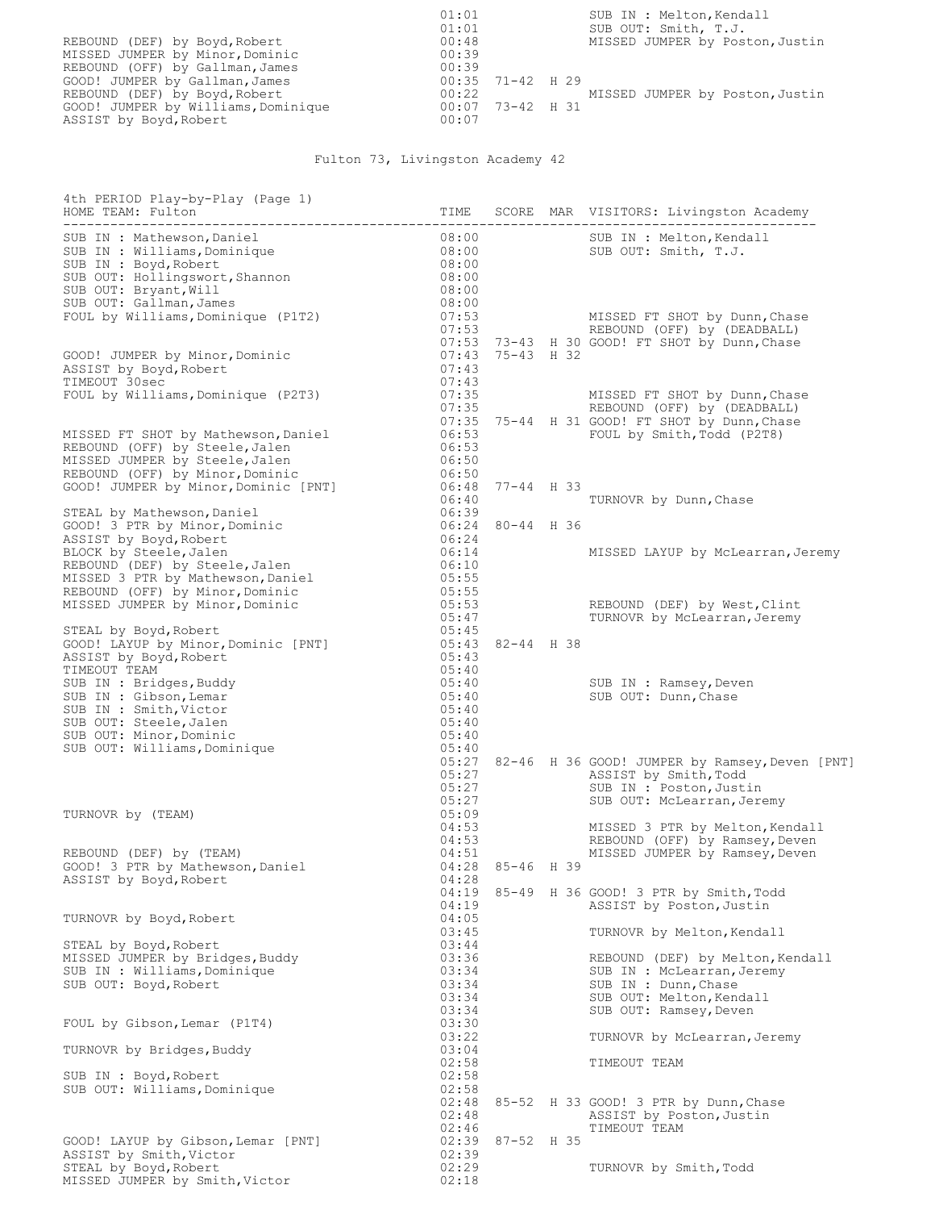| REBOUND (DEF) by Boyd, Robert<br>MISSED JUMPER by Minor, Dominic<br>REBOUND (OFF) by Gallman, James<br>GOOD! JUMPER by Gallman, James<br>REBOUND (DEF) by Boyd, Robert | 01:01<br>01:01<br>00:48<br>00:39<br>00:39<br>$00:35$ 71-42 H 29<br>00:22 |  | SUB IN : Melton, Kendall<br>SUB OUT: Smith, T.J.<br>MISSED JUMPER by Poston, Justin<br>MISSED JUMPER by Poston, Justin |
|------------------------------------------------------------------------------------------------------------------------------------------------------------------------|--------------------------------------------------------------------------|--|------------------------------------------------------------------------------------------------------------------------|
| GOOD! JUMPER by Williams, Dominique<br>ASSIST by Boyd, Robert                                                                                                          | $00:07$ 73-42 H 31<br>00:07                                              |  |                                                                                                                        |

## Fulton 73, Livingston Academy 42

| 4th PERIOD Play-by-Play (Page 1)<br>HOME TEAM: Fulton            | TIME                          |                    | SCORE MAR VISITORS: Livingston Academy                                                                                         |
|------------------------------------------------------------------|-------------------------------|--------------------|--------------------------------------------------------------------------------------------------------------------------------|
| SUB IN : Mathewson, Daniel                                       | 08:00                         |                    | SUB IN : Melton, Kendall                                                                                                       |
| SUB IN : Williams, Dominique                                     | 08:00                         |                    | SUB IN : Meiton, Nena<br>SUB OUT: Smith, T.J.                                                                                  |
| SUB IN : Boyd, Robert<br>SUB OUT: Hollingswort, Shannon          | 08:00<br>08:00                |                    |                                                                                                                                |
| SUB OUT: Bryant, Will                                            | 08:00                         |                    |                                                                                                                                |
| SUB OUT: Gallman, James                                          | 08:00                         |                    |                                                                                                                                |
| FOUL by Williams, Dominique (P1T2)                               |                               |                    |                                                                                                                                |
|                                                                  |                               |                    |                                                                                                                                |
|                                                                  |                               |                    | 07:53 73-43 H 30 GOOD! FT SHOT by Dunn, Chase                                                                                  |
| GOOD! JUMPER by Minor, Dominic<br>ASSIST by Boyd, Robert         | 07:43 75-43 H 32<br>07:43     |                    |                                                                                                                                |
| TIMEOUT 30sec                                                    | 07:43                         |                    |                                                                                                                                |
| FOUL by Williams, Dominique (P2T3)                               |                               |                    |                                                                                                                                |
|                                                                  |                               |                    | 07:35 MISSED FT SHOT by Dunn, Chase<br>07:35 REBOUND (OFF) by (DEADBALL)                                                       |
|                                                                  |                               |                    | 07:35 75-44 H 31 GOOD! FT SHOT by Dunn, Chase                                                                                  |
| MISSED FT SHOT by Mathewson, Daniel                              | $06:53$<br>06:53              |                    | FOUL by Smith, Todd (P2T8)                                                                                                     |
| REBOUND (OFF) by Steele, Jalen<br>MISSED JUMPER by Steele, Jalen |                               |                    |                                                                                                                                |
| REBOUND (OFF) by Minor, Dominic                                  | $06:50$<br>$06:50$            |                    |                                                                                                                                |
| GOOD! JUMPER by Minor, Dominic [PNT]<br>$06:48$ $77-44$ H 33     |                               |                    |                                                                                                                                |
|                                                                  | 06:40                         |                    | TURNOVR by Dunn, Chase                                                                                                         |
| STEAL by Mathewson, Daniel                                       | 06:39<br>06:24   80-44   H 36 |                    |                                                                                                                                |
| GOOD! 3 PTR by Minor, Dominic                                    | 06:24                         |                    |                                                                                                                                |
| ASSIST by Boyd, Robert<br>BLOCK by Steele, Jalen                 |                               |                    | MISSED LAYUP by McLearran, Jeremy                                                                                              |
| REBOUND (DEF) by Steele, Jalen                                   | $06:14$<br>$06:10$            |                    |                                                                                                                                |
| MISSED 3 PTR by Mathewson, Daniel                                | 05:55                         |                    |                                                                                                                                |
| REBOUND (OFF) by Minor, Dominic                                  | 05:55                         |                    |                                                                                                                                |
| MISSED JUMPER by Minor, Dominic                                  | $05:53$<br>$05:47$            |                    | REBOUND (DEF) by West,Clint<br>TURNOVR by McLearran.Jeremy                                                                     |
| STEAL by Boyd, Robert                                            | 05:45                         |                    | TURNOVR by McLearran, Jeremy                                                                                                   |
| GOOD! LAYUP by Minor, Dominic [PNT]                              | 05:43 82-44 H 38              |                    |                                                                                                                                |
| ASSIST by Boyd, Robert                                           | 05:43                         |                    |                                                                                                                                |
| TIMEOUT TEAM                                                     | 05:40                         |                    |                                                                                                                                |
| SUB IN : Bridges, Buddy                                          | 05:40<br>05:40                |                    | SUB IN : Ramsey, Deven                                                                                                         |
| SUB IN : Gibson, Lemar                                           |                               |                    | SUB OUT: Dunn, Chase                                                                                                           |
| SUB IN : Smith, Victor<br>SUB OUT: Steele, Jalen                 | 05:40<br>05:40                |                    |                                                                                                                                |
| SUB OUT: Minor, Dominic                                          | 05:40                         |                    |                                                                                                                                |
| SUB OUT: Williams, Dominique                                     | 05:40                         |                    |                                                                                                                                |
|                                                                  |                               |                    | 05:27 82-46 H 36 GOOD! JUMPER by Ramsey, Deven [PNT]                                                                           |
|                                                                  |                               |                    | 05:27 ASSIST by Smith, Todd                                                                                                    |
|                                                                  | 05:27<br>05:27                |                    | SUB IN : Poston, Justin<br>SUB OUT: McLearran, Jeremy                                                                          |
| TURNOVR by (TEAM)                                                |                               |                    | 05:09<br>04:53 MISSED 3 PTR by Melton, Kendall<br>04:53 REBOUND (OFF) by Ramsey, Deven<br>04:51 MISSED JUMPER by Ramsey, Deven |
|                                                                  |                               |                    |                                                                                                                                |
|                                                                  |                               |                    |                                                                                                                                |
| REBOUND (DEF) by (TEAM)                                          |                               |                    |                                                                                                                                |
| GOOD! 3 PTR by Mathewson, Daniel<br>ASSIST by Boyd, Robert       | 04:28                         | $04:28$ 85-46 H 39 |                                                                                                                                |
|                                                                  | 04:19                         |                    | 85-49 H 36 GOOD! 3 PTR by Smith, Todd                                                                                          |
|                                                                  | 04:19                         |                    | ASSIST by Poston, Justin                                                                                                       |
| TURNOVR by Boyd, Robert                                          | 04:05                         |                    |                                                                                                                                |
|                                                                  | 03:45                         |                    | TURNOVR by Melton, Kendall                                                                                                     |
| STEAL by Boyd, Robert<br>MISSED JUMPER by Bridges, Buddy         | 03:44<br>03:36                |                    | REBOUND (DEF) by Melton, Kendall                                                                                               |
| SUB IN : Williams, Dominique                                     | 03:34                         |                    | SUB IN : McLearran, Jeremy                                                                                                     |
| SUB OUT: Boyd, Robert                                            | 03:34                         |                    | SUB IN : Dunn, Chase                                                                                                           |
|                                                                  | 03:34                         |                    | SUB OUT: Melton, Kendall                                                                                                       |
|                                                                  | 03:34                         |                    | SUB OUT: Ramsey, Deven                                                                                                         |
| FOUL by Gibson, Lemar (P1T4)                                     | 03:30<br>03:22                |                    | TURNOVR by McLearran, Jeremy                                                                                                   |
| TURNOVR by Bridges, Buddy                                        | 03:04                         |                    |                                                                                                                                |
|                                                                  | 02:58                         |                    | TIMEOUT TEAM                                                                                                                   |
| SUB IN : Boyd, Robert                                            | 02:58                         |                    |                                                                                                                                |
| SUB OUT: Williams, Dominique                                     | 02:58                         |                    |                                                                                                                                |
|                                                                  | 02:48<br>02:48                |                    | 85-52 H 33 GOOD! 3 PTR by Dunn, Chase<br>ASSIST by Poston, Justin                                                              |
|                                                                  | 02:46                         |                    | TIMEOUT TEAM                                                                                                                   |
| GOOD! LAYUP by Gibson, Lemar [PNT]                               | 02:39                         | 87-52 H 35         |                                                                                                                                |
| ASSIST by Smith, Victor                                          | 02:39                         |                    |                                                                                                                                |
| STEAL by Boyd, Robert                                            | 02:29                         |                    | TURNOVR by Smith, Todd                                                                                                         |
| MISSED JUMPER by Smith, Victor                                   | 02:18                         |                    |                                                                                                                                |